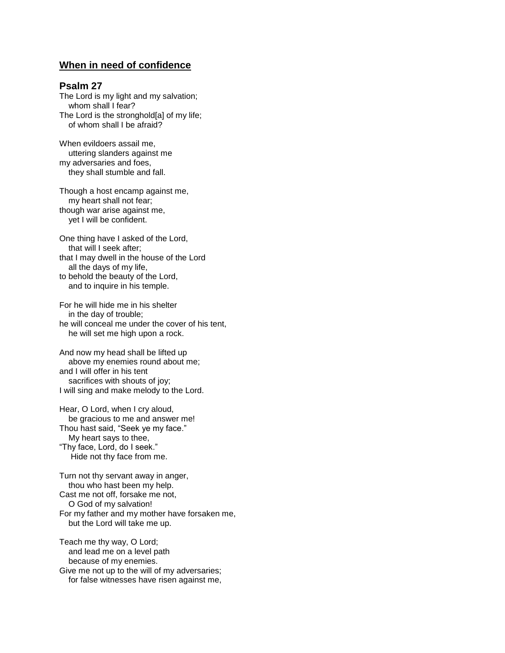## **When in need of confidence**

## **Psalm 27**

The Lord is my light and my salvation; whom shall I fear? The Lord is the stronghold[a] of my life; of whom shall I be afraid?

When evildoers assail me, uttering slanders against me my adversaries and foes, they shall stumble and fall.

Though a host encamp against me, my heart shall not fear; though war arise against me, yet I will be confident.

One thing have I asked of the Lord, that will I seek after; that I may dwell in the house of the Lord all the days of my life, to behold the beauty of the Lord, and to inquire in his temple.

For he will hide me in his shelter in the day of trouble; he will conceal me under the cover of his tent, he will set me high upon a rock.

And now my head shall be lifted up above my enemies round about me; and I will offer in his tent sacrifices with shouts of joy; I will sing and make melody to the Lord.

Hear, O Lord, when I cry aloud, be gracious to me and answer me! Thou hast said, "Seek ye my face." My heart says to thee, "Thy face, Lord, do I seek." Hide not thy face from me.

Turn not thy servant away in anger, thou who hast been my help. Cast me not off, forsake me not, O God of my salvation! For my father and my mother have forsaken me, but the Lord will take me up.

Teach me thy way, O Lord; and lead me on a level path because of my enemies. Give me not up to the will of my adversaries; for false witnesses have risen against me,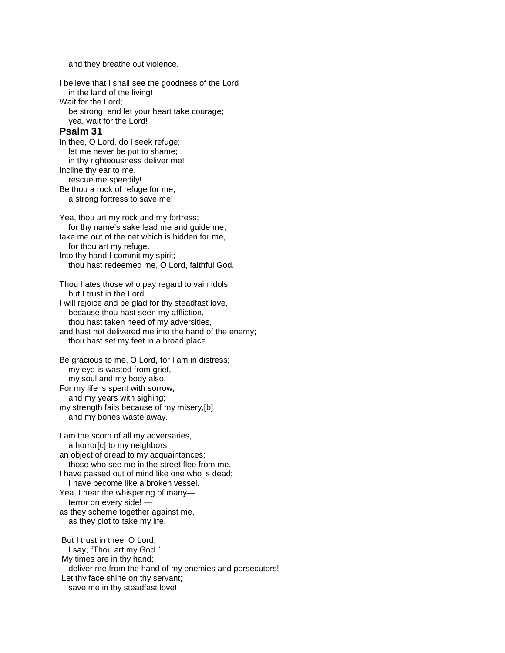and they breathe out violence.

I believe that I shall see the goodness of the Lord in the land of the living! Wait for the Lord; be strong, and let your heart take courage; yea, wait for the Lord! **Psalm 31** In thee, O Lord, do I seek refuge; let me never be put to shame; in thy righteousness deliver me! Incline thy ear to me, rescue me speedily! Be thou a rock of refuge for me, a strong fortress to save me! Yea, thou art my rock and my fortress; for thy name's sake lead me and guide me, take me out of the net which is hidden for me, for thou art my refuge. Into thy hand I commit my spirit; thou hast redeemed me, O Lord, faithful God. Thou hates those who pay regard to vain idols; but I trust in the Lord. I will rejoice and be glad for thy steadfast love, because thou hast seen my affliction, thou hast taken heed of my adversities, and hast not delivered me into the hand of the enemy; thou hast set my feet in a broad place. Be gracious to me, O Lord, for I am in distress; my eye is wasted from grief, my soul and my body also. For my life is spent with sorrow, and my years with sighing; my strength fails because of my misery,[b] and my bones waste away. I am the scorn of all my adversaries, a horror[c] to my neighbors, an object of dread to my acquaintances; those who see me in the street flee from me. I have passed out of mind like one who is dead; I have become like a broken vessel. Yea, I hear the whispering of many terror on every side! as they scheme together against me, as they plot to take my life. But I trust in thee, O Lord, I say, "Thou art my God." My times are in thy hand; deliver me from the hand of my enemies and persecutors! Let thy face shine on thy servant; save me in thy steadfast love!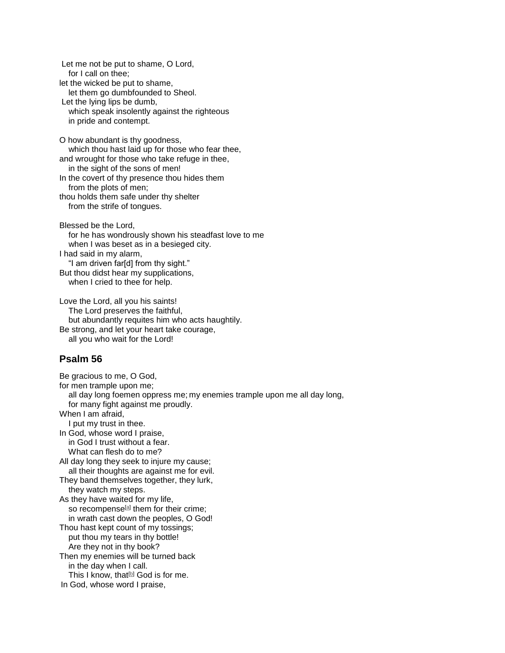Let me not be put to shame, O Lord, for I call on thee; let the wicked be put to shame, let them go dumbfounded to Sheol. Let the lying lips be dumb, which speak insolently against the righteous in pride and contempt.

O how abundant is thy goodness, which thou hast laid up for those who fear thee, and wrought for those who take refuge in thee, in the sight of the sons of men! In the covert of thy presence thou hides them from the plots of men; thou holds them safe under thy shelter from the strife of tongues. Blessed be the Lord,

 for he has wondrously shown his steadfast love to me when I was beset as in a besieged city. I had said in my alarm, "I am driven far[d] from thy sight." But thou didst hear my supplications, when I cried to thee for help.

Love the Lord, all you his saints! The Lord preserves the faithful, but abundantly requites him who acts haughtily. Be strong, and let your heart take courage, all you who wait for the Lord!

## **Psalm 56**

Be gracious to me, O God, for men trample upon me; all day long foemen oppress me; my enemies trample upon me all day long, for many fight against me proudly. When I am afraid. I put my trust in thee. In God, whose word I praise, in God I trust without a fear. What can flesh do to me? All day long they seek to injure my cause: all their thoughts are against me for evil. They band themselves together, they lurk, they watch my steps. As they have waited for my life, so recompense<sup>[\[a\]](https://www.biblegateway.com/passage/?search=Psalms+27%2C31%2C56%2C62+&version=RSVCE#fen-RSVCE-15351a)</sup> them for their crime; in wrath cast down the peoples, O God! Thou hast kept count of my tossings; put thou my tears in thy bottle! Are they not in thy book? Then my enemies will be turned back in the day when I call. This I know, that  $[b]$  God is for me. In God, whose word I praise,